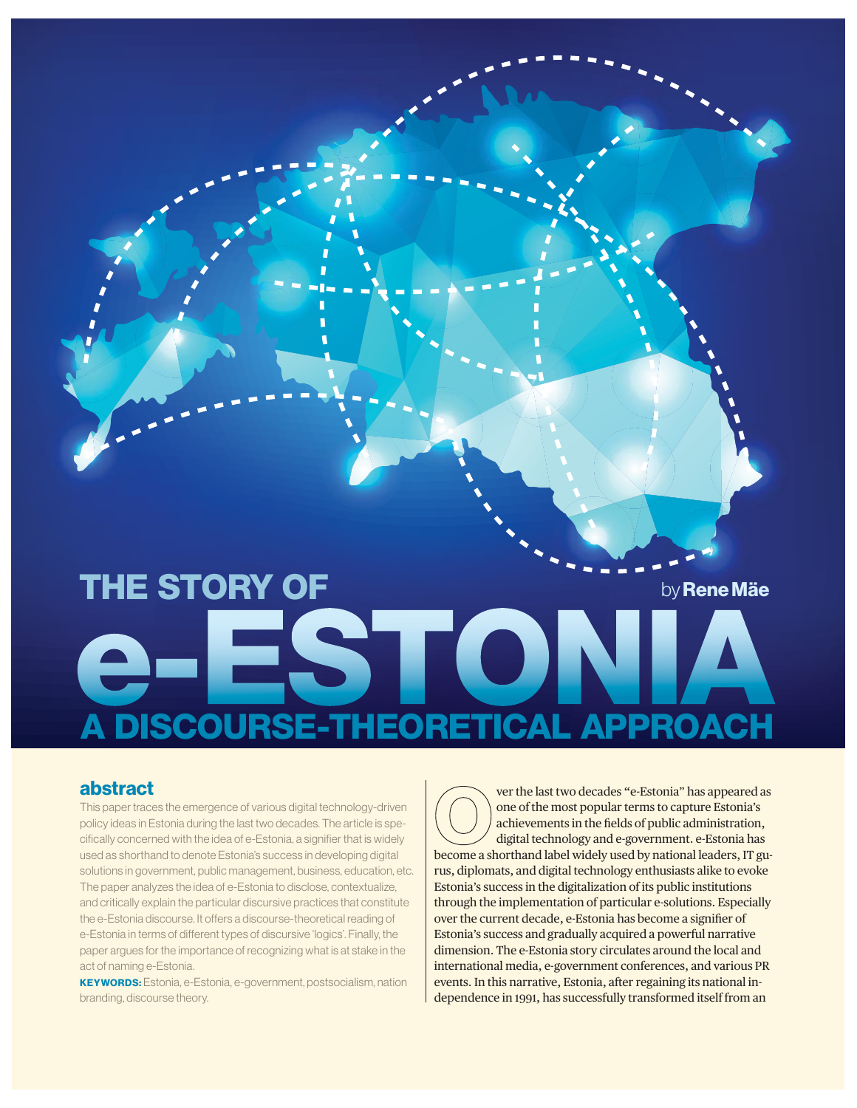# **A DISCOURSE-THEORETICAL APPROACH THE STORY OF By Rene Mäe**

#### **abstract**

This paper traces the emergence of various digital technology-driven policy ideas in Estonia during the last two decades. The article is specifically concerned with the idea of e-Estonia, a signifier that is widely used as shorthand to denote Estonia's success in developing digital solutions in government, public management, business, education, etc. The paper analyzes the idea of e-Estonia to disclose, contextualize, and critically explain the particular discursive practices that constitute the e-Estonia discourse. It offers a discourse-theoretical reading of e-Estonia in terms of different types of discursive 'logics'. Finally, the paper argues for the importance of recognizing what is at stake in the act of naming e-Estonia.

**KEYWORDS:** Estonia, e-Estonia, e-government, postsocialism, nation branding, discourse theory.

ver the last two decades **"**e-Estonia" has appeared as one of the most popular terms to capture Estonia's achievements in the fields of public administration, digital technology and e-government. e-Estonia has become a shorthand label widely used by national leaders, IT gurus, diplomats, and digital technology enthusiasts alike to evoke Estonia's success in the digitalization of its public institutions through the implementation of particular e-solutions. Especially over the current decade, e-Estonia has become a signifier of Estonia's success and gradually acquired a powerful narrative dimension. The e-Estonia story circulates around the local and international media, e-government conferences, and various PR events. In this narrative, Estonia, after regaining its national independence in 1991, has successfully transformed itself from an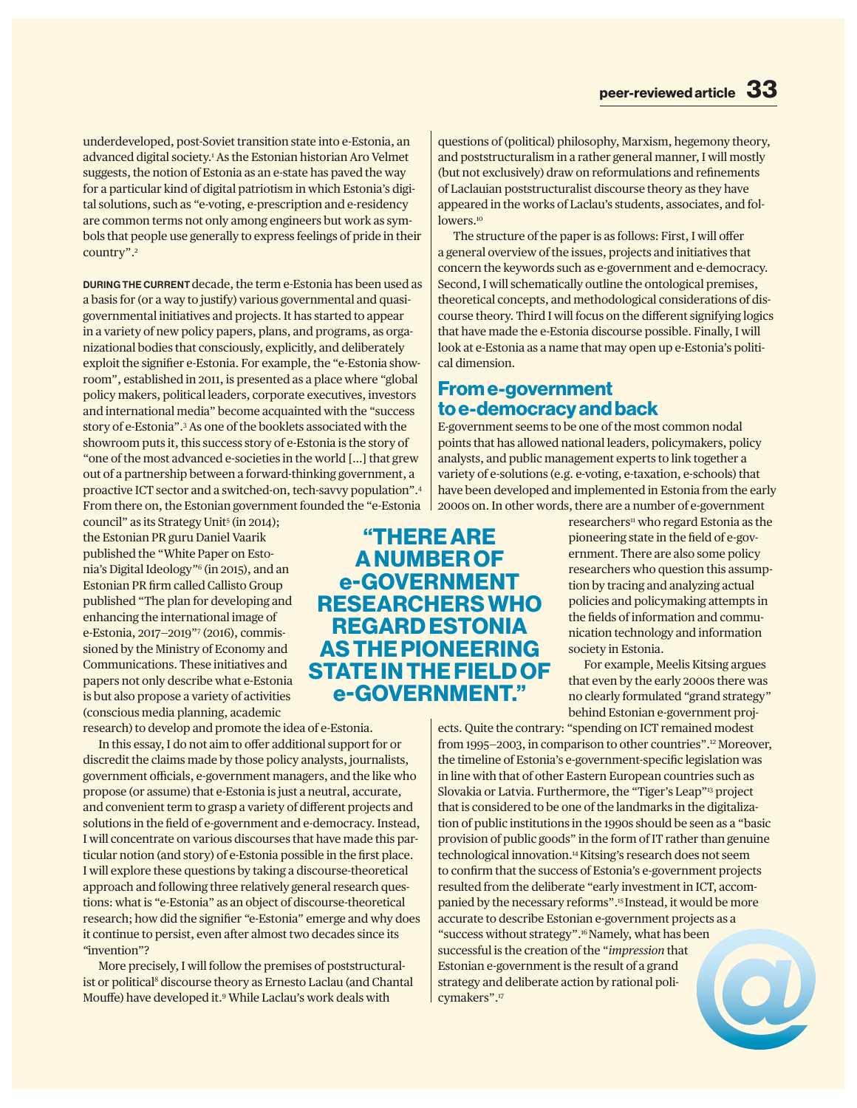underdeveloped, post-Soviet transition state into e-Estonia, an advanced digital society.<sup>1</sup> As the Estonian historian Aro Velmet suggests, the notion of Estonia as an e-state has paved the way for a particular kind of digital patriotism in which Estonia's digital solutions, such as "e-voting, e-prescription and e-residency are common terms not only among engineers but work as symbols that people use generally to express feelings of pride in their country".2

DURING THE CURRENT decade, the term e-Estonia has been used as a basis for (or a way to justify) various governmental and quasigovernmental initiatives and projects. It has started to appear in a variety of new policy papers, plans, and programs, as organizational bodies that consciously, explicitly, and deliberately exploit the signifier e-Estonia. For example, the "e-Estonia showroom", established in 2011, is presented as a place where "global policy makers, political leaders, corporate executives, investors and international media" become acquainted with the "success story of e-Estonia".3 As one of the booklets associated with the showroom puts it, this success story of e-Estonia is the story of "one of the most advanced e-societies in the world […] that grew out of a partnership between a forward-thinking government, a proactive ICT sector and a switched-on, tech-savvy population".4 From there on, the Estonian government founded the "e-Estonia

council" as its Strategy Unit<sup>5</sup> (in 2014); the Estonian PR guru Daniel Vaarik published the "White Paper on Estonia's Digital Ideology"6 (in 2015), and an Estonian PR firm called Callisto Group published "The plan for developing and enhancing the international image of e-Estonia, 2017—2019"7 (2016), commissioned by the Ministry of Economy and Communications. These initiatives and papers not only describe what e-Estonia is but also propose a variety of activities (conscious media planning, academic

research) to develop and promote the idea of e-Estonia.

In this essay, I do not aim to offer additional support for or discredit the claims made by those policy analysts, journalists, government officials, e-government managers, and the like who propose (or assume) that e-Estonia is just a neutral, accurate, and convenient term to grasp a variety of different projects and solutions in the field of e-government and e-democracy. Instead, I will concentrate on various discourses that have made this particular notion (and story) of e-Estonia possible in the first place. I will explore these questions by taking a discourse-theoretical approach and following three relatively general research questions: what is "e-Estonia" as an object of discourse-theoretical research; how did the signifier *"*e-Estonia" emerge and why does it continue to persist, even after almost two decades since its *"*invention"?

More precisely, I will follow the premises of poststructuralist or political<sup>s</sup> discourse theory as Ernesto Laclau (and Chantal Mouffe) have developed it.9 While Laclau's work deals with

questions of (political) philosophy, Marxism, hegemony theory, and poststructuralism in a rather general manner, I will mostly (but not exclusively) draw on reformulations and refinements of Laclauian poststructuralist discourse theory as they have appeared in the works of Laclau's students, associates, and followers.<sup>10</sup>

The structure of the paper is as follows: First, I will offer a general overview of the issues, projects and initiatives that concern the keywords such as e-government and e-democracy. Second, I will schematically outline the ontological premises, theoretical concepts, and methodological considerations of discourse theory. Third I will focus on the different signifying logics that have made the e-Estonia discourse possible. Finally, I will look at e-Estonia as a name that may open up e-Estonia's political dimension.

#### **From e-government to e-democracy and back**

E-government seems to be one of the most common nodal points that has allowed national leaders, policymakers, policy analysts, and public management experts to link together a variety of e-solutions (e.g. e-voting, e-taxation, e-schools) that have been developed and implemented in Estonia from the early 2000s on. In other words, there are a number of e-government

**"THERE ARE A NUMBER OF e-GOVERNMENT RESEARCHERS WHO REGARD ESTONIA AS THE PIONEERING STATE IN THE FIELD OF e-GOVERNMENT."**

researchers<sup>11</sup> who regard Estonia as the pioneering state in the field of e-government. There are also some policy researchers who question this assumption by tracing and analyzing actual policies and policymaking attempts in the fields of information and communication technology and information society in Estonia.

For example, Meelis Kitsing argues that even by the early 2000s there was no clearly formulated "grand strategy" behind Estonian e-government proj-

ects. Quite the contrary: "spending on ICT remained modest from 1995—2003, in comparison to other countries".12 Moreover, the timeline of Estonia's e-government-specific legislation was in line with that of other Eastern European countries such as Slovakia or Latvia. Furthermore, the "Tiger's Leap"13 project that is considered to be one of the landmarks in the digitalization of public institutions in the 1990s should be seen as a "basic provision of public goods" in the form of IT rather than genuine technological innovation.<sup>14</sup> Kitsing's research does not seem to confirm that the success of Estonia's e-government projects resulted from the deliberate "early investment in ICT, accompanied by the necessary reforms".15 Instead, it would be more accurate to describe Estonian e-government projects as a "success without strategy".16 Namely, what has been successful is the creation of the "*impression* that Estonian e-government is the result of a grand strategy and deliberate action by rational policymakers".17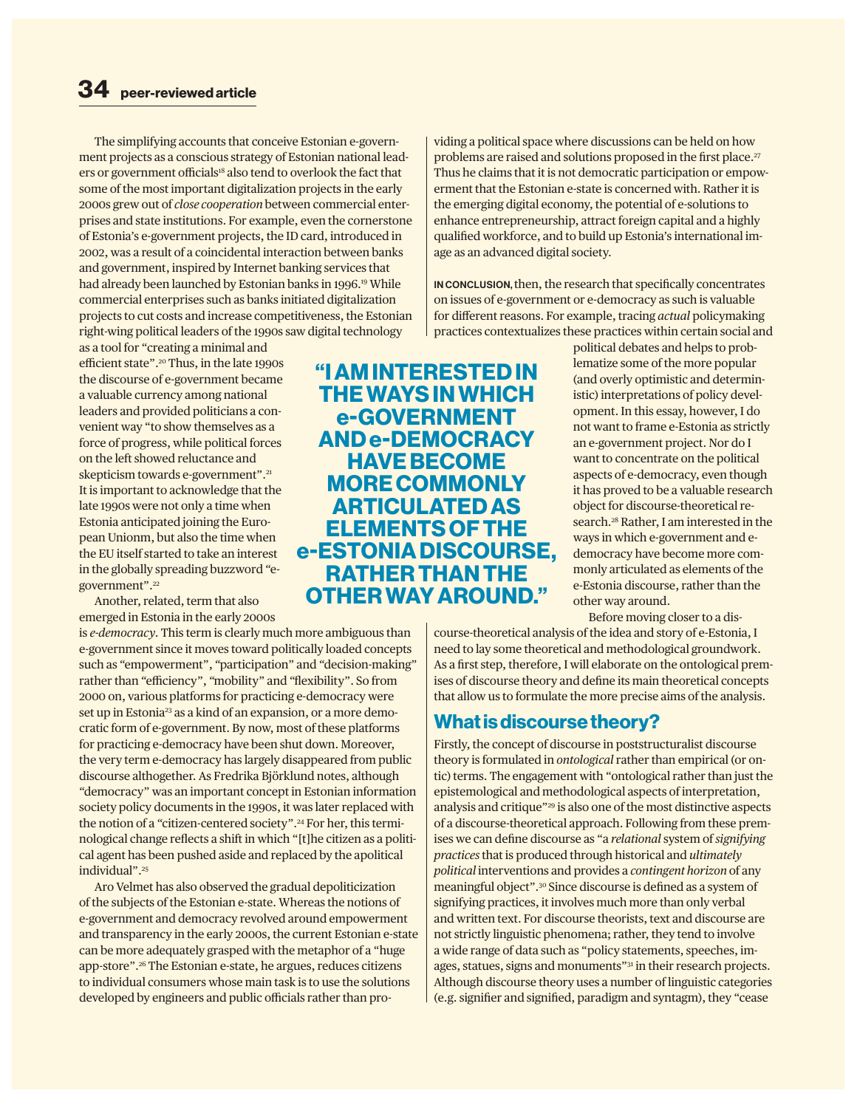The simplifying accounts that conceive Estonian e-government projects as a conscious strategy of Estonian national leaders or government officials<sup>18</sup> also tend to overlook the fact that some of the most important digitalization projects in the early 2000s grew out of *close cooperation* between commercial enterprises and state institutions. For example, even the cornerstone of Estonia's e-government projects, the ID card, introduced in 2002, was a result of a coincidental interaction between banks and government, inspired by Internet banking services that had already been launched by Estonian banks in 1996.<sup>19</sup> While commercial enterprises such as banks initiated digitalization projects to cut costs and increase competitiveness, the Estonian right-wing political leaders of the 1990s saw digital technology

as a tool for "creating a minimal and efficient state".20 Thus, in the late 1990s the discourse of e-government became a valuable currency among national leaders and provided politicians a convenient way "to show themselves as a force of progress, while political forces on the left showed reluctance and skepticism towards e-government".<sup>21</sup> It is important to acknowledge that the late 1990s were not only a time when Estonia anticipated joining the European Unionm, but also the time when the EU itself started to take an interest in the globally spreading buzzword *"*egovernment".22

Another, related, term that also emerged in Estonia in the early 2000s

is *e-democracy*. This term is clearly much more ambiguous than e-government since it moves toward politically loaded concepts such as *"*empowerment", *"*participation" and *"*decision-making" rather than *"*efficiency", *"*mobility" and *"*flexibility". So from 2000 on, various platforms for practicing e-democracy were set up in Estonia<sup>23</sup> as a kind of an expansion, or a more democratic form of e-government. By now, most of these platforms for practicing e-democracy have been shut down. Moreover, the very term e-democracy has largely disappeared from public discourse althogether. As Fredrika Björklund notes, although *"*democracy" was an important concept in Estonian information society policy documents in the 1990s, it was later replaced with the notion of a "citizen-centered society".<sup>24</sup> For her, this terminological change reflects a shift in which "[t]he citizen as a political agent has been pushed aside and replaced by the apolitical individual".25

Aro Velmet has also observed the gradual depoliticization of the subjects of the Estonian e-state. Whereas the notions of e-government and democracy revolved around empowerment and transparency in the early 2000s, the current Estonian e-state can be more adequately grasped with the metaphor of a "huge app-store".26 The Estonian e-state, he argues, reduces citizens to individual consumers whose main task is to use the solutions developed by engineers and public officials rather than providing a political space where discussions can be held on how problems are raised and solutions proposed in the first place.<sup>27</sup> Thus he claims that it is not democratic participation or empowerment that the Estonian e-state is concerned with. Rather it is the emerging digital economy, the potential of e-solutions to enhance entrepreneurship, attract foreign capital and a highly qualified workforce, and to build up Estonia's international image as an advanced digital society.

IN CONCLUSION, then, the research that specifically concentrates on issues of e-government or e-democracy as such is valuable for different reasons. For example, tracing *actual* policymaking practices contextualizes these practices within certain social and

> political debates and helps to problematize some of the more popular (and overly optimistic and deterministic) interpretations of policy development. In this essay, however, I do not want to frame e-Estonia as strictly an e-government project. Nor do I want to concentrate on the political aspects of e-democracy, even though it has proved to be a valuable research object for discourse-theoretical research.<sup>28</sup> Rather, I am interested in the ways in which e-government and edemocracy have become more commonly articulated as elements of the e-Estonia discourse, rather than the other way around.

Before moving closer to a dis-

course-theoretical analysis of the idea and story of e-Estonia, I need to lay some theoretical and methodological groundwork. As a first step, therefore, I will elaborate on the ontological premises of discourse theory and define its main theoretical concepts that allow us to formulate the more precise aims of the analysis.

### **What is discourse theory?**

Firstly, the concept of discourse in poststructuralist discourse theory is formulated in *ontological* rather than empirical (or ontic) terms. The engagement with "ontological rather than just the epistemological and methodological aspects of interpretation, analysis and critique"29 is also one of the most distinctive aspects of a discourse-theoretical approach. Following from these premises we can define discourse as "a *relational* system of *signifying practices* that is produced through historical and *ultimately political* interventions and provides a *contingent horizon* of any meaningful object".30 Since discourse is defined as a system of signifying practices, it involves much more than only verbal and written text. For discourse theorists, text and discourse are not strictly linguistic phenomena; rather, they tend to involve a wide range of data such as "policy statements, speeches, images, statues, signs and monuments"<sup>31</sup> in their research projects. Although discourse theory uses a number of linguistic categories (e.g. signifier and signified, paradigm and syntagm), they "cease

**"I AM INTERESTED IN THE WAYS IN WHICH e-GOVERNMENT AND e-DEMOCRACY HAVE BECOME MORE COMMONLY ARTICULATED AS ELEMENTS OF THE e-ESTONIA DISCOURSE, RATHER THAN THE OTHER WAY AROUND."**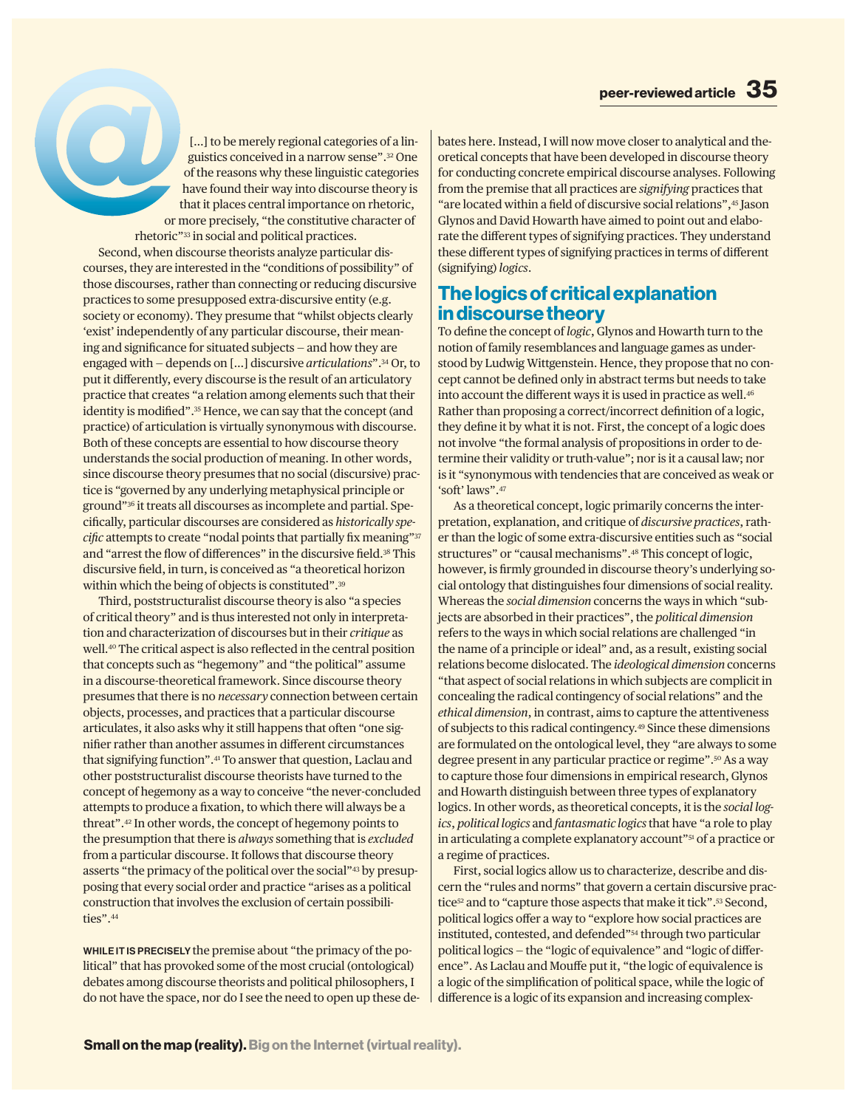[...] to be merely regional categories of a linguistics conceived in a narrow sense".32 One of the reasons why these linguistic categories have found their way into discourse theory is that it places central importance on rhetoric, or more precisely, "the constitutive character of rhetoric"33 in social and political practices.

Second, when discourse theorists analyze particular discourses, they are interested in the "conditions of possibility" of those discourses, rather than connecting or reducing discursive practices to some presupposed extra-discursive entity (e.g. society or economy). They presume that "whilst objects clearly 'exist' independently of any particular discourse, their meaning and significance for situated subjects — and how they are engaged with — depends on […] discursive *articulations*".34 Or, to put it differently, every discourse is the result of an articulatory practice that creates "a relation among elements such that their identity is modified".<sup>35</sup> Hence, we can say that the concept (and practice) of articulation is virtually synonymous with discourse. Both of these concepts are essential to how discourse theory understands the social production of meaning. In other words, since discourse theory presumes that no social (discursive) practice is "governed by any underlying metaphysical principle or ground"36 it treats all discourses as incomplete and partial. Specifically, particular discourses are considered as *historically specific* attempts to create "nodal points that partially fix meaning"37 and "arrest the flow of differences" in the discursive field.<sup>38</sup> This discursive field, in turn, is conceived as "a theoretical horizon within which the being of objects is constituted".<sup>39</sup>

Third, poststructuralist discourse theory is also "a species of critical theory" and is thus interested not only in interpretation and characterization of discourses but in their *critique* as well.40 The critical aspect is also reflected in the central position that concepts such as "hegemony" and "the political" assume in a discourse-theoretical framework. Since discourse theory presumes that there is no *necessary* connection between certain objects, processes, and practices that a particular discourse articulates, it also asks why it still happens that often "one signifier rather than another assumes in different circumstances that signifying function".41 To answer that question, Laclau and other poststructuralist discourse theorists have turned to the concept of hegemony as a way to conceive "the never-concluded attempts to produce a fixation, to which there will always be a threat".42 In other words, the concept of hegemony points to the presumption that there is *always* something that is *excluded* from a particular discourse. It follows that discourse theory asserts "the primacy of the political over the social"43 by presupposing that every social order and practice "arises as a political construction that involves the exclusion of certain possibilities".44

WHILE IT IS PRECISELY the premise about "the primacy of the political" that has provoked some of the most crucial (ontological) debates among discourse theorists and political philosophers, I do not have the space, nor do I see the need to open up these debates here. Instead, I will now move closer to analytical and theoretical concepts that have been developed in discourse theory for conducting concrete empirical discourse analyses. Following from the premise that all practices are *signifying* practices that "are located within a field of discursive social relations",45 Jason Glynos and David Howarth have aimed to point out and elaborate the different types of signifying practices. They understand these different types of signifying practices in terms of different (signifying) *logics*.

#### **The logics of critical explanation in discourse theory**

To define the concept of *logic*, Glynos and Howarth turn to the notion of family resemblances and language games as understood by Ludwig Wittgenstein. Hence, they propose that no concept cannot be defined only in abstract terms but needs to take into account the different ways it is used in practice as well.<sup>46</sup> Rather than proposing a correct/incorrect definition of a logic, they define it by what it is not. First, the concept of a logic does not involve "the formal analysis of propositions in order to determine their validity or truth-value"; nor is it a causal law; nor is it "synonymous with tendencies that are conceived as weak or 'soft' laws".47

As a theoretical concept, logic primarily concerns the interpretation, explanation, and critique of *discursive practices*, rather than the logic of some extra-discursive entities such as "social structures" or "causal mechanisms".48 This concept of logic, however, is firmly grounded in discourse theory's underlying social ontology that distinguishes four dimensions of social reality. Whereas the *social dimension* concerns the ways in which "subjects are absorbed in their practices", the *political dimension* refers to the ways in which social relations are challenged "in the name of a principle or ideal" and, as a result, existing social relations become dislocated. The *ideological dimension* concerns "that aspect of social relations in which subjects are complicit in concealing the radical contingency of social relations" and the *ethical dimension*, in contrast, aims to capture the attentiveness of subjects to this radical contingency.49 Since these dimensions are formulated on the ontological level, they "are always to some degree present in any particular practice or regime".<sup>50</sup> As a way to capture those four dimensions in empirical research, Glynos and Howarth distinguish between three types of explanatory logics. In other words, as theoretical concepts, it is the *social logics*, *political logics* and *fantasmatic logics* that have "a role to play in articulating a complete explanatory account"<sup>51</sup> of a practice or a regime of practices.

First, social logics allow us to characterize, describe and discern the "rules and norms" that govern a certain discursive practice<sup>52</sup> and to "capture those aspects that make it tick".<sup>53</sup> Second, political logics offer a way to "explore how social practices are instituted, contested, and defended"54 through two particular political logics — the "logic of equivalence" and "logic of difference". As Laclau and Mouffe put it, "the logic of equivalence is a logic of the simplification of political space, while the logic of difference is a logic of its expansion and increasing complex-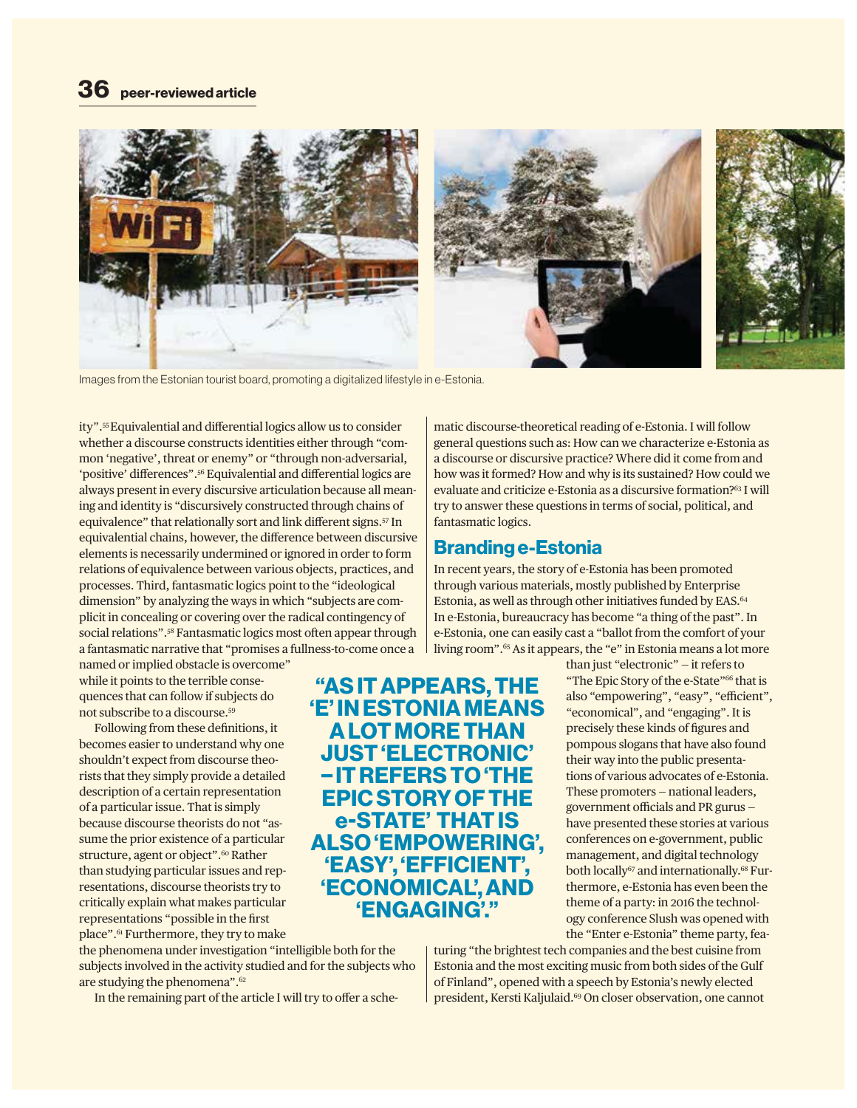

**"AS IT APPEARS, THE 'E' IN ESTONIA MEANS A LOT MORE THAN JUST 'ELECTRONIC' – IT REFERS TO 'THE EPIC STORY OF THE e-STATE' THAT IS ALSO 'EMPOWERING', 'EASY', 'EFFICIENT', 'ECONOMICAL', AND 'ENGAGING'."**

Images from the Estonian tourist board, promoting a digitalized lifestyle in e-Estonia.

ity".55 Equivalential and differential logics allow us to consider whether a discourse constructs identities either through "common 'negative', threat or enemy" or "through non-adversarial, 'positive' differences".56 Equivalential and differential logics are always present in every discursive articulation because all meaning and identity is "discursively constructed through chains of equivalence" that relationally sort and link different signs.<sup>57</sup> In equivalential chains, however, the difference between discursive elements is necessarily undermined or ignored in order to form relations of equivalence between various objects, practices, and processes. Third, fantasmatic logics point to the "ideological dimension" by analyzing the ways in which "subjects are complicit in concealing or covering over the radical contingency of social relations".58 Fantasmatic logics most often appear through a fantasmatic narrative that "promises a fullness-to-come once a

named or implied obstacle is overcome" while it points to the terrible consequences that can follow if subjects do not subscribe to a discourse.59

Following from these definitions, it becomes easier to understand why one shouldn't expect from discourse theorists that they simply provide a detailed description of a certain representation of a particular issue. That is simply because discourse theorists do not "assume the prior existence of a particular structure, agent or object".<sup>60</sup> Rather than studying particular issues and representations, discourse theorists try to critically explain what makes particular representations "possible in the first place".<sup>61</sup> Furthermore, they try to make

the phenomena under investigation "intelligible both for the subjects involved in the activity studied and for the subjects who are studying the phenomena".62

In the remaining part of the article I will try to offer a sche-

matic discourse-theoretical reading of e-Estonia. I will follow general questions such as: How can we characterize e-Estonia as a discourse or discursive practice? Where did it come from and how was it formed? How and why is its sustained? How could we evaluate and criticize e-Estonia as a discursive formation?63 I will try to answer these questions in terms of social, political, and fantasmatic logics.

#### **Branding e-Estonia**

In recent years, the story of e-Estonia has been promoted through various materials, mostly published by Enterprise Estonia, as well as through other initiatives funded by EAS.64 In e-Estonia, bureaucracy has become "a thing of the past". In e-Estonia, one can easily cast a "ballot from the comfort of your living room".<sup>65</sup> As it appears, the "e" in Estonia means a lot more

> than just "electronic" — it refers to "The Epic Story of the e-State"66 that is also "empowering", "easy", "efficient", "economical", and "engaging". It is precisely these kinds of figures and pompous slogans that have also found their way into the public presentations of various advocates of e-Estonia. These promoters — national leaders, government officials and PR gurus have presented these stories at various conferences on e-government, public management, and digital technology both locally<sup>67</sup> and internationally.<sup>68</sup> Furthermore, e-Estonia has even been the theme of a party: in 2016 the technology conference Slush was opened with the "Enter e-Estonia" theme party, fea-

turing "the brightest tech companies and the best cuisine from Estonia and the most exciting music from both sides of the Gulf of Finland", opened with a speech by Estonia's newly elected president, Kersti Kaljulaid.<sup>69</sup> On closer observation, one cannot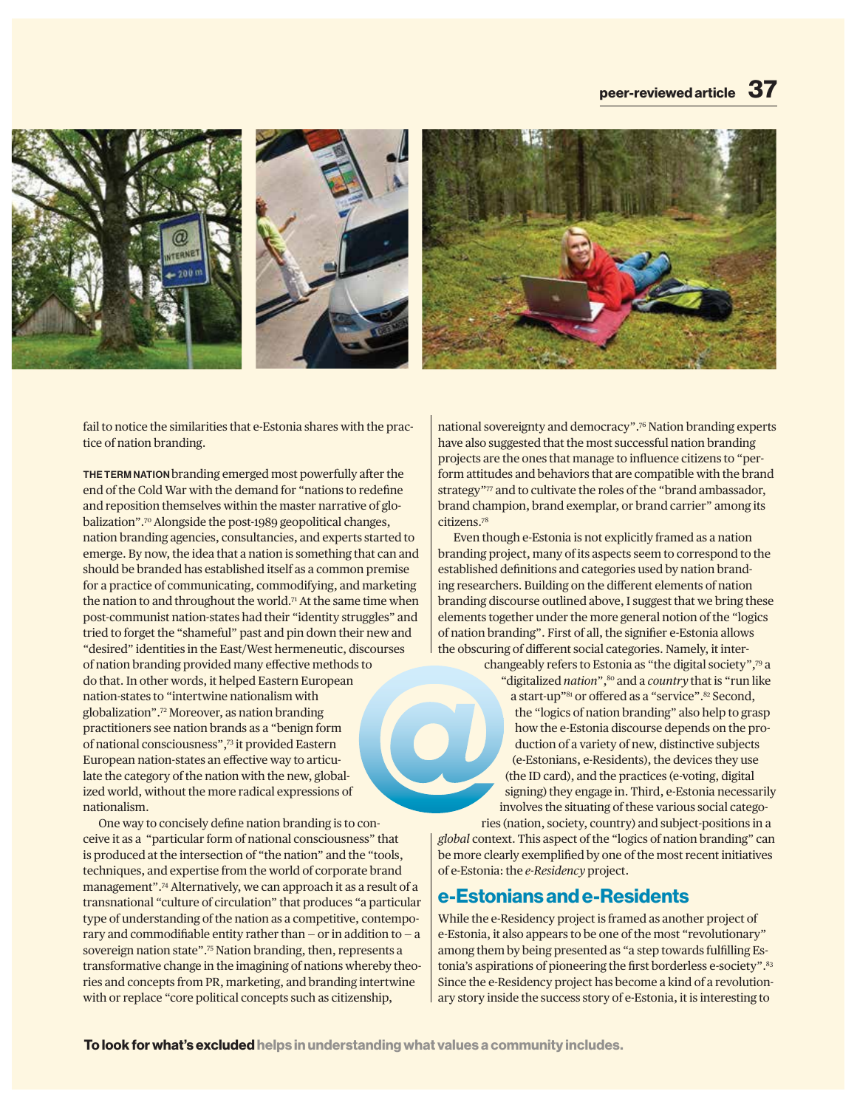

![](_page_5_Picture_2.jpeg)

![](_page_5_Picture_3.jpeg)

fail to notice the similarities that e-Estonia shares with the practice of nation branding.

THE TERM NATION branding emerged most powerfully after the end of the Cold War with the demand for "nations to redefine and reposition themselves within the master narrative of globalization".<sup>70</sup> Alongside the post-1989 geopolitical changes, nation branding agencies, consultancies, and experts started to emerge. By now, the idea that a nation is something that can and should be branded has established itself as a common premise for a practice of communicating, commodifying, and marketing the nation to and throughout the world.<sup>71</sup> At the same time when post-communist nation-states had their "identity struggles" and tried to forget the "shameful" past and pin down their new and "desired" identities in the East/West hermeneutic, discourses of nation branding provided many effective methods to do that. In other words, it helped Eastern European nation-states to "intertwine nationalism with globalization".72 Moreover, as nation branding practitioners see nation brands as a "benign form of national consciousness",73 it provided Eastern European nation-states an effective way to articulate the category of the nation with the new, globalized world, without the more radical expressions of nationalism.

One way to concisely define nation branding is to conceive it as a "particular form of national consciousness" that is produced at the intersection of "the nation" and the "tools, techniques, and expertise from the world of corporate brand management".74 Alternatively, we can approach it as a result of a transnational "culture of circulation" that produces "a particular type of understanding of the nation as a competitive, contemporary and commodifiable entity rather than  $-$  or in addition to  $-$  a sovereign nation state".75 Nation branding, then, represents a transformative change in the imagining of nations whereby theories and concepts from PR, marketing, and branding intertwine with or replace "core political concepts such as citizenship,

national sovereignty and democracy".76 Nation branding experts have also suggested that the most successful nation branding projects are the ones that manage to influence citizens to "perform attitudes and behaviors that are compatible with the brand strategy"<sup>77</sup> and to cultivate the roles of the "brand ambassador, brand champion, brand exemplar, or brand carrier" among its citizens.78

Even though e-Estonia is not explicitly framed as a nation branding project, many of its aspects seem to correspond to the established definitions and categories used by nation branding researchers. Building on the different elements of nation branding discourse outlined above, I suggest that we bring these elements together under the more general notion of the "logics of nation branding". First of all, the signifier e-Estonia allows the obscuring of different social categories. Namely, it inter-

> changeably refers to Estonia as "the digital society",79 a "digitalized *nation*",<sup>80</sup> and a *country* that is "run like a start-up"<sup>81</sup> or offered as a "service".<sup>82</sup> Second, the "logics of nation branding" also help to grasp how the e-Estonia discourse depends on the production of a variety of new, distinctive subjects (e-Estonians, e-Residents), the devices they use (the ID card), and the practices (e-voting, digital signing) they engage in. Third, e-Estonia necessarily involves the situating of these various social catego-

ries (nation, society, country) and subject-positions in a *global* context. This aspect of the "logics of nation branding" can be more clearly exemplified by one of the most recent initiatives of e-Estonia: the *e-Residency* project.

#### **e-Estonians and e-Residents**

While the e-Residency project is framed as another project of e-Estonia, it also appears to be one of the most "revolutionary" among them by being presented as "a step towards fulfilling Estonia's aspirations of pioneering the first borderless e-society".<sup>83</sup> Since the e-Residency project has become a kind of a revolutionary story inside the success story of e-Estonia, it is interesting to

**To look for what's excluded helps in understanding what values a community includes.**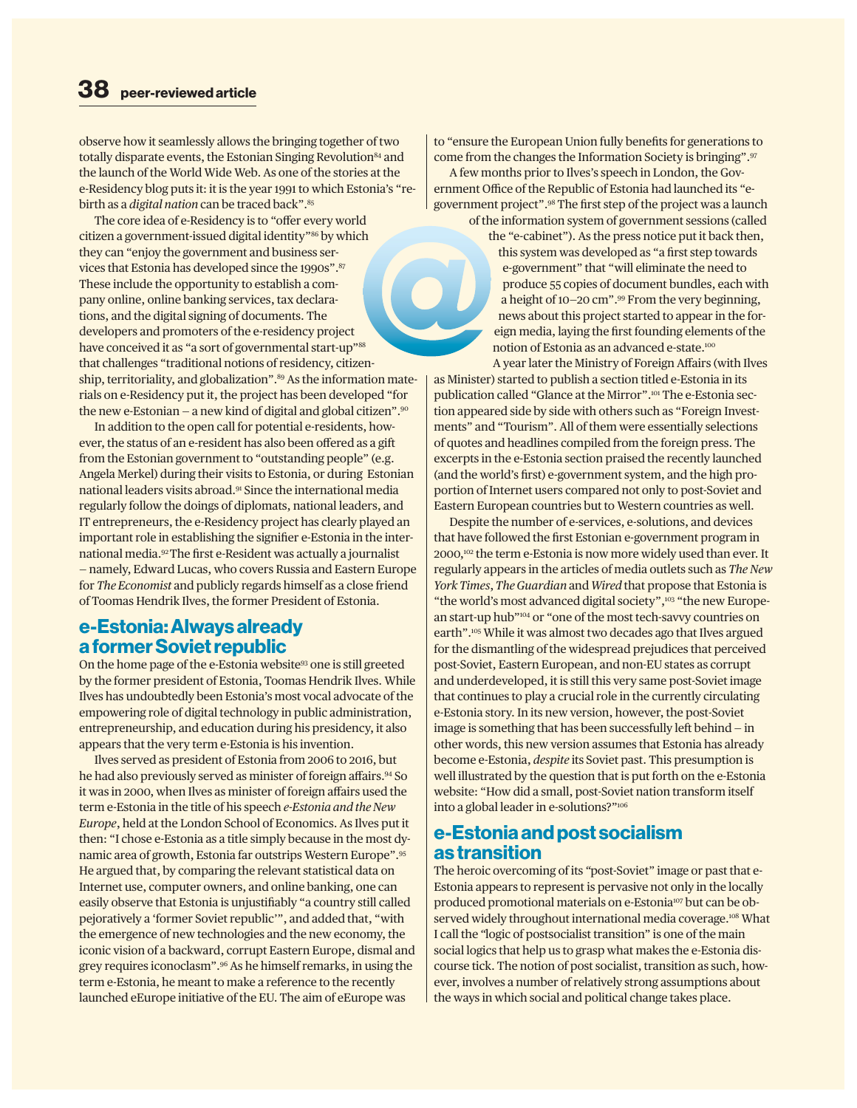observe how it seamlessly allows the bringing together of two totally disparate events, the Estonian Singing Revolution<sup>84</sup> and the launch of the World Wide Web. As one of the stories at the e-Residency blog puts it: it is the year 1991 to which Estonia's "rebirth as a *digital nation* can be traced back".85

The core idea of e-Residency is to "offer every world citizen a government-issued digital identity"86 by which they can "enjoy the government and business services that Estonia has developed since the 1990s".87 These include the opportunity to establish a company online, online banking services, tax declarations, and the digital signing of documents. The developers and promoters of the e-residency project have conceived it as "a sort of governmental start-up"88 that challenges "traditional notions of residency, citizenship, territoriality, and globalization".<sup>89</sup> As the information materials on e-Residency put it, the project has been developed "for the new e-Estonian — a new kind of digital and global citizen".90

In addition to the open call for potential e-residents, however, the status of an e-resident has also been offered as a gift from the Estonian government to "outstanding people" (e.g. Angela Merkel) during their visits to Estonia, or during Estonian national leaders visits abroad.<sup>91</sup> Since the international media regularly follow the doings of diplomats, national leaders, and IT entrepreneurs, the e-Residency project has clearly played an important role in establishing the signifier e-Estonia in the international media.92 The first e-Resident was actually a journalist — namely, Edward Lucas, who covers Russia and Eastern Europe for *The Economist* and publicly regards himself as a close friend of Toomas Hendrik Ilves, the former President of Estonia.

#### **e-Estonia: Always already a former Soviet republic**

On the home page of the e-Estonia website93 one is still greeted by the former president of Estonia, Toomas Hendrik Ilves. While Ilves has undoubtedly been Estonia's most vocal advocate of the empowering role of digital technology in public administration, entrepreneurship, and education during his presidency, it also appears that the very term e-Estonia is his invention.

Ilves served as president of Estonia from 2006 to 2016, but he had also previously served as minister of foreign affairs.<sup>94</sup> So it was in 2000, when Ilves as minister of foreign affairs used the term e-Estonia in the title of his speech *e-Estonia and the New Europe*, held at the London School of Economics. As Ilves put it then: "I chose e-Estonia as a title simply because in the most dynamic area of growth, Estonia far outstrips Western Europe".95 He argued that, by comparing the relevant statistical data on Internet use, computer owners, and online banking, one can easily observe that Estonia is unjustifiably "a country still called pejoratively a 'former Soviet republic'", and added that, "with the emergence of new technologies and the new economy, the iconic vision of a backward, corrupt Eastern Europe, dismal and grey requires iconoclasm".96 As he himself remarks, in using the term e-Estonia, he meant to make a reference to the recently launched eEurope initiative of the EU. The aim of eEurope was

to "ensure the European Union fully benefits for generations to come from the changes the Information Society is bringing".97

A few months prior to Ilves's speech in London, the Government Office of the Republic of Estonia had launched its "egovernment project".98 The first step of the project was a launch

> of the information system of government sessions (called the "e-cabinet"). As the press notice put it back then, this system was developed as "a first step towards e-government" that "will eliminate the need to produce 55 copies of document bundles, each with a height of 10—20 cm".99 From the very beginning, news about this project started to appear in the foreign media, laying the first founding elements of the notion of Estonia as an advanced e-state.100

A year later the Ministry of Foreign Affairs (with Ilves as Minister) started to publish a section titled e-Estonia in its publication called "Glance at the Mirror".101 The e-Estonia section appeared side by side with others such as "Foreign Investments" and "Tourism". All of them were essentially selections of quotes and headlines compiled from the foreign press. The excerpts in the e-Estonia section praised the recently launched (and the world's first) e-government system, and the high proportion of Internet users compared not only to post-Soviet and Eastern European countries but to Western countries as well.

Despite the number of e-services, e-solutions, and devices that have followed the first Estonian e-government program in 2000,102 the term e-Estonia is now more widely used than ever. It regularly appears in the articles of media outlets such as *The New York Times*, *The Guardian* and *Wired* that propose that Estonia is "the world's most advanced digital society",<sup>103</sup> "the new European start-up hub"104 or "one of the most tech-savvy countries on earth".105 While it was almost two decades ago that Ilves argued for the dismantling of the widespread prejudices that perceived post-Soviet, Eastern European, and non-EU states as corrupt and underdeveloped, it is still this very same post-Soviet image that continues to play a crucial role in the currently circulating e-Estonia story. In its new version, however, the post-Soviet image is something that has been successfully left behind — in other words, this new version assumes that Estonia has already become e-Estonia, *despite* its Soviet past. This presumption is well illustrated by the question that is put forth on the e-Estonia website: "How did a small, post-Soviet nation transform itself into a global leader in e-solutions?"106

#### **e-Estonia and post socialism as transition**

The heroic overcoming of its *"*post-Soviet" image or past that e-Estonia appears to represent is pervasive not only in the locally produced promotional materials on e-Estonia<sup>107</sup> but can be observed widely throughout international media coverage.<sup>108</sup> What I call the *"*logic of postsocialist transition" is one of the main social logics that help us to grasp what makes the e-Estonia discourse tick. The notion of post socialist, transition as such, however, involves a number of relatively strong assumptions about the ways in which social and political change takes place.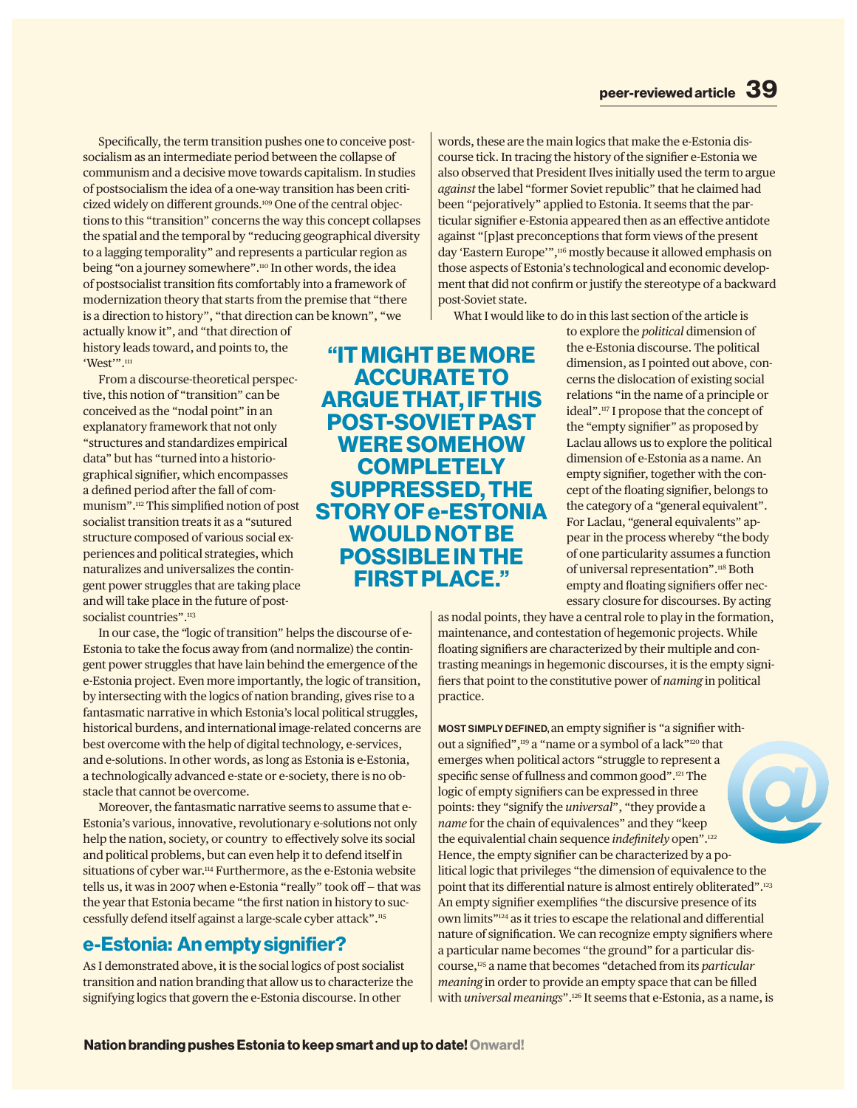Specifically, the term transition pushes one to conceive postsocialism as an intermediate period between the collapse of communism and a decisive move towards capitalism. In studies of postsocialism the idea of a one-way transition has been criticized widely on different grounds.109 One of the central objections to this "transition" concerns the way this concept collapses the spatial and the temporal by "reducing geographical diversity to a lagging temporality" and represents a particular region as being "on a journey somewhere".<sup>110</sup> In other words, the idea of postsocialist transition fits comfortably into a framework of modernization theory that starts from the premise that "there is a direction to history", "that direction can be known", "we

actually know it", and "that direction of history leads toward, and points to, the 'West'".<sup>111</sup>

From a discourse-theoretical perspective, this notion of "transition" can be conceived as the "nodal point" in an explanatory framework that not only "structures and standardizes empirical data" but has "turned into a historiographical signifier, which encompasses a defined period after the fall of communism".112 This simplified notion of post socialist transition treats it as a "sutured structure composed of various social experiences and political strategies, which naturalizes and universalizes the contingent power struggles that are taking place and will take place in the future of postsocialist countries".<sup>113</sup>

In our case, the *"*logic of transition" helps the discourse of e-Estonia to take the focus away from (and normalize) the contingent power struggles that have lain behind the emergence of the e-Estonia project. Even more importantly, the logic of transition, by intersecting with the logics of nation branding, gives rise to a fantasmatic narrative in which Estonia's local political struggles, historical burdens, and international image-related concerns are best overcome with the help of digital technology, e-services, and e-solutions. In other words, as long as Estonia is e-Estonia, a technologically advanced e-state or e-society, there is no obstacle that cannot be overcome.

Moreover, the fantasmatic narrative seems to assume that e-Estonia's various, innovative, revolutionary e-solutions not only help the nation, society, or country to effectively solve its social and political problems, but can even help it to defend itself in situations of cyber war.<sup>114</sup> Furthermore, as the e-Estonia website tells us, it was in 2007 when e-Estonia "really" took off — that was the year that Estonia became "the first nation in history to successfully defend itself against a large-scale cyber attack".115

### **e-Estonia: An empty signifier?**

As I demonstrated above, it is the social logics of post socialist transition and nation branding that allow us to characterize the signifying logics that govern the e-Estonia discourse. In other

**"IT MIGHT BE MORE ACCURATE TO ARGUE THAT, IF THIS POST-SOVIET PAST WERE SOMEHOW COMPLETELY SUPPRESSED, THE STORY OF e-ESTONIA WOULD NOT BE POSSIBLE IN THE FIRST PLACE."**

words, these are the main logics that make the e-Estonia discourse tick. In tracing the history of the signifier e-Estonia we also observed that President Ilves initially used the term to argue *against* the label "former Soviet republic" that he claimed had been "pejoratively" applied to Estonia. It seems that the particular signifier e-Estonia appeared then as an effective antidote against "[p]ast preconceptions that form views of the present day 'Eastern Europe'",<sup>116</sup> mostly because it allowed emphasis on those aspects of Estonia's technological and economic development that did not confirm or justify the stereotype of a backward post-Soviet state.

What I would like to do in this last section of the article is

to explore the *political* dimension of the e-Estonia discourse. The political dimension, as I pointed out above, concerns the dislocation of existing social relations "in the name of a principle or ideal".117 I propose that the concept of the "empty signifier" as proposed by Laclau allows us to explore the political dimension of e-Estonia as a name. An empty signifier, together with the concept of the floating signifier, belongs to the category of a "general equivalent". For Laclau, "general equivalents" appear in the process whereby "the body of one particularity assumes a function of universal representation".118 Both empty and floating signifiers offer necessary closure for discourses. By acting

as nodal points, they have a central role to play in the formation, maintenance, and contestation of hegemonic projects. While floating signifiers are characterized by their multiple and contrasting meanings in hegemonic discourses, it is the empty signifiers that point to the constitutive power of *naming* in political practice.

MOST SIMPLY DEFINED, an empty signifier is "a signifier without a signified",<sup>119</sup> a "name or a symbol of a lack"<sup>120</sup> that emerges when political actors "struggle to represent a specific sense of fullness and common good".<sup>121</sup> The logic of empty signifiers can be expressed in three points: they "signify the *universal*", "they provide a *name* for the chain of equivalences" and they "keep the equivalential chain sequence *indefinitely* open".122 Hence, the empty signifier can be characterized by a political logic that privileges "the dimension of equivalence to the point that its differential nature is almost entirely obliterated".123 An empty signifier exemplifies "the discursive presence of its own limits"124 as it tries to escape the relational and differential nature of signification. We can recognize empty signifiers where a particular name becomes "the ground" for a particular discourse,125 a name that becomes "detached from its *particular meaning* in order to provide an empty space that can be filled with *universal meanings*".<sup>126</sup> It seems that e-Estonia, as a name, is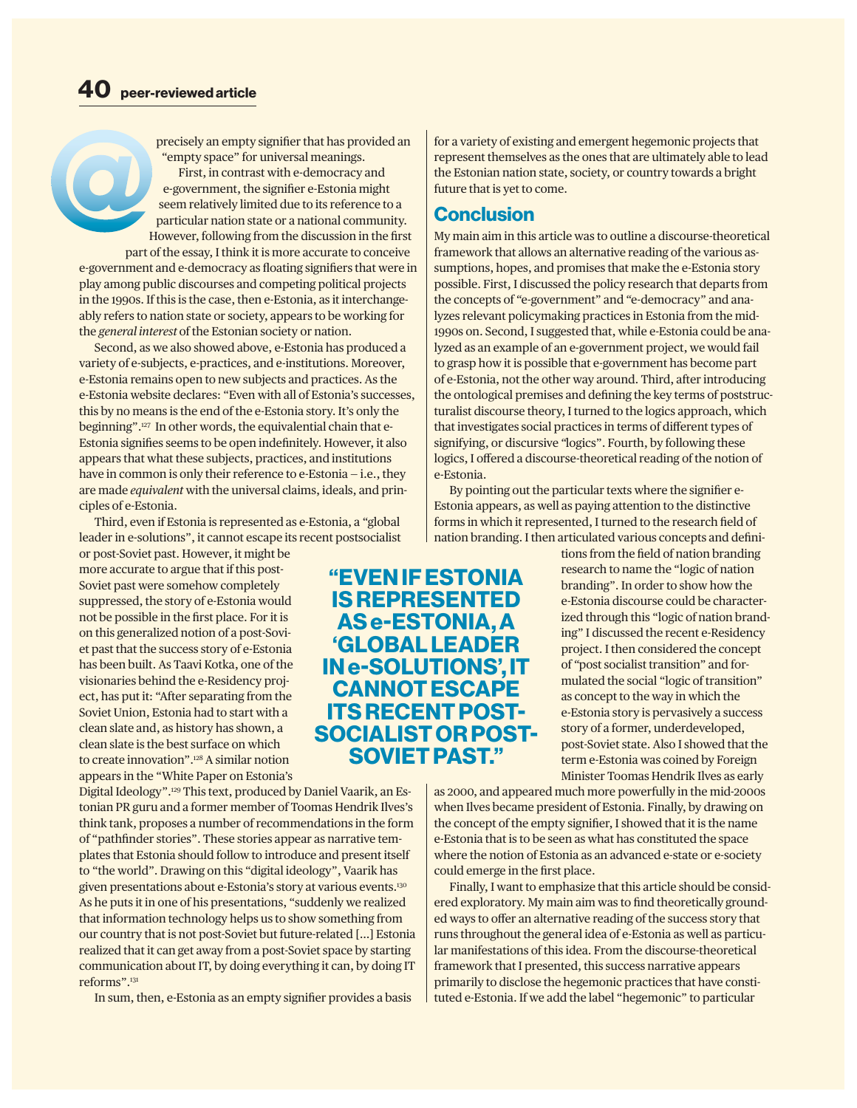precisely an empty signifier that has provided an "empty space" for universal meanings.

First, in contrast with e-democracy and e-government, the signifier e-Estonia might seem relatively limited due to its reference to a particular nation state or a national community. However, following from the discussion in the first

part of the essay, I think it is more accurate to conceive e-government and e-democracy as floating signifiers that were in play among public discourses and competing political projects in the 1990s. If this is the case, then e-Estonia, as it interchangeably refers to nation state or society, appears to be working for the *general interest* of the Estonian society or nation.

Second, as we also showed above, e-Estonia has produced a variety of e-subjects, e-practices, and e-institutions. Moreover, e-Estonia remains open to new subjects and practices. As the e-Estonia website declares: "Even with all of Estonia's successes, this by no means is the end of the e-Estonia story. It's only the beginning".127 In other words, the equivalential chain that e-Estonia signifies seems to be open indefinitely. However, it also appears that what these subjects, practices, and institutions have in common is only their reference to e-Estonia - i.e., they are made *equivalent* with the universal claims, ideals, and principles of e-Estonia.

Third, even if Estonia is represented as e-Estonia, a "global leader in e-solutions", it cannot escape its recent postsocialist

or post-Soviet past. However, it might be more accurate to argue that if this post-Soviet past were somehow completely suppressed, the story of e-Estonia would not be possible in the first place. For it is on this generalized notion of a post-Soviet past that the success story of e-Estonia has been built. As Taavi Kotka, one of the visionaries behind the e-Residency project, has put it: "After separating from the Soviet Union, Estonia had to start with a clean slate and, as history has shown, a clean slate is the best surface on which to create innovation".128 A similar notion appears in the "White Paper on Estonia's

Digital Ideology".129 This text, produced by Daniel Vaarik, an Estonian PR guru and a former member of Toomas Hendrik Ilves's think tank, proposes a number of recommendations in the form of "pathfinder stories". These stories appear as narrative templates that Estonia should follow to introduce and present itself to "the world". Drawing on this "digital ideology", Vaarik has given presentations about e-Estonia's story at various events.130 As he puts it in one of his presentations, "suddenly we realized that information technology helps us to show something from our country that is not post-Soviet but future-related […] Estonia realized that it can get away from a post-Soviet space by starting communication about IT, by doing everything it can, by doing IT reforms".131

In sum, then, e-Estonia as an empty signifier provides a basis

for a variety of existing and emergent hegemonic projects that represent themselves as the ones that are ultimately able to lead the Estonian nation state, society, or country towards a bright future that is yet to come.

#### **Conclusion**

**"EVEN IF ESTONIA IS REPRESENTED AS e-ESTONIA, A 'GLOBAL LEADER IN e-SOLUTIONS', IT CANNOT ESCAPE ITS RECENT POST-SOCIALIST OR POST-SOVIET PAST."**

My main aim in this article was to outline a discourse-theoretical framework that allows an alternative reading of the various assumptions, hopes, and promises that make the e-Estonia story possible. First, I discussed the policy research that departs from the concepts of *"*e-government" and *"*e-democracy" and analyzes relevant policymaking practices in Estonia from the mid-1990s on. Second, I suggested that, while e-Estonia could be analyzed as an example of an e-government project, we would fail to grasp how it is possible that e-government has become part of e-Estonia, not the other way around. Third, after introducing the ontological premises and defining the key terms of poststructuralist discourse theory, I turned to the logics approach, which that investigates social practices in terms of different types of signifying, or discursive *"*logics". Fourth, by following these logics, I offered a discourse-theoretical reading of the notion of e-Estonia.

By pointing out the particular texts where the signifier e-Estonia appears, as well as paying attention to the distinctive forms in which it represented, I turned to the research field of nation branding. I then articulated various concepts and defini-

> tions from the field of nation branding research to name the "logic of nation branding". In order to show how the e-Estonia discourse could be characterized through this "logic of nation branding" I discussed the recent e-Residency project. I then considered the concept of *"*post socialist transition" and formulated the social "logic of transition" as concept to the way in which the e-Estonia story is pervasively a success story of a former, underdeveloped, post-Soviet state. Also I showed that the term e-Estonia was coined by Foreign Minister Toomas Hendrik Ilves as early

as 2000, and appeared much more powerfully in the mid-2000s when Ilves became president of Estonia. Finally, by drawing on the concept of the empty signifier, I showed that it is the name e-Estonia that is to be seen as what has constituted the space where the notion of Estonia as an advanced e-state or e-society could emerge in the first place.

Finally, I want to emphasize that this article should be considered exploratory. My main aim was to find theoretically grounded ways to offer an alternative reading of the success story that runs throughout the general idea of e-Estonia as well as particular manifestations of this idea. From the discourse-theoretical framework that I presented, this success narrative appears primarily to disclose the hegemonic practices that have constituted e-Estonia. If we add the label "hegemonic" to particular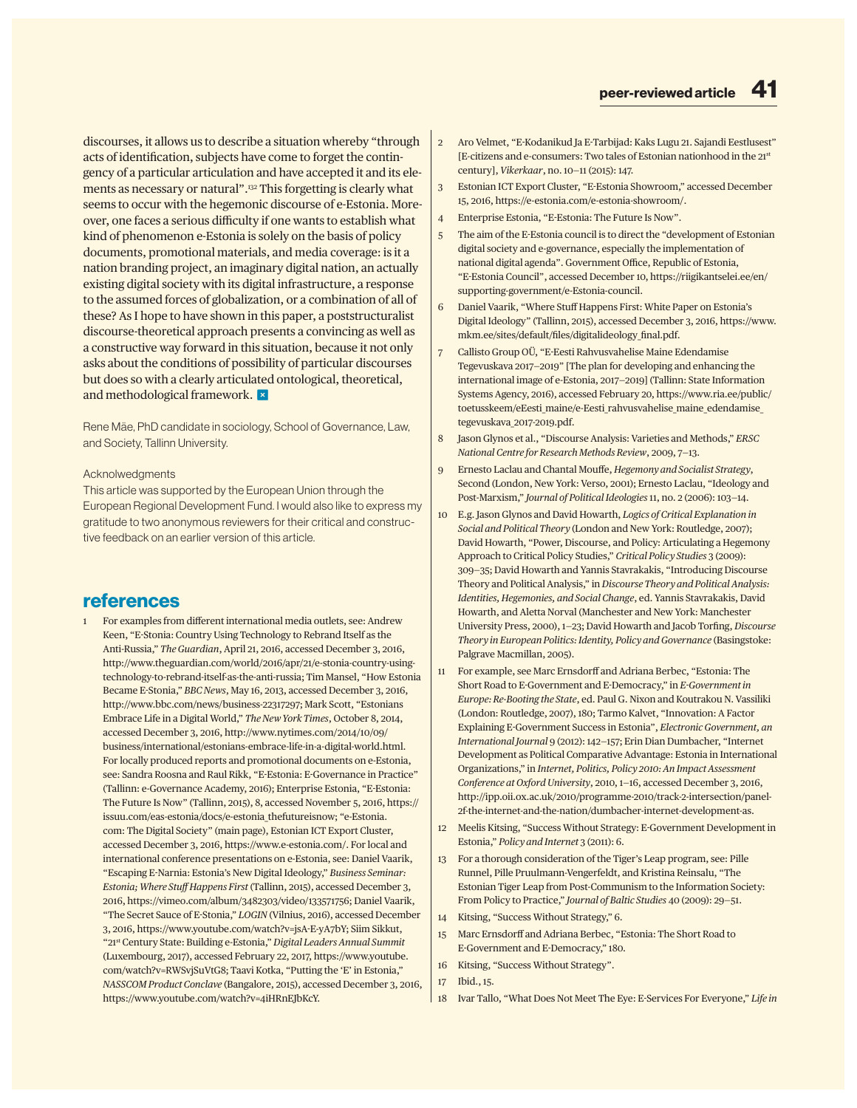discourses, it allows us to describe a situation whereby "through acts of identification, subjects have come to forget the contingency of a particular articulation and have accepted it and its elements as necessary or natural".132 This forgetting is clearly what seems to occur with the hegemonic discourse of e-Estonia. Moreover, one faces a serious difficulty if one wants to establish what kind of phenomenon e-Estonia is solely on the basis of policy documents, promotional materials, and media coverage: is it a nation branding project, an imaginary digital nation, an actually existing digital society with its digital infrastructure, a response to the assumed forces of globalization, or a combination of all of these? As I hope to have shown in this paper, a poststructuralist discourse-theoretical approach presents a convincing as well as a constructive way forward in this situation, because it not only asks about the conditions of possibility of particular discourses but does so with a clearly articulated ontological, theoretical, and methodological framework. ≈

Rene Mäe, PhD candidate in sociology, School of Governance, Law, and Society, Tallinn University.

#### **Acknolwedgments**

This article was supported by the European Union through the European Regional Development Fund. I would also like to express my gratitude to two anonymous reviewers for their critical and constructive feedback on an earlier version of this article.

#### **references**

1 For examples from different international media outlets, see: Andrew Keen, "E-Stonia: Country Using Technology to Rebrand Itself as the Anti-Russia," *The Guardian*, April 21, 2016, accessed December 3, 2016, http://www.theguardian.com/world/2016/apr/21/e-stonia-country-usingtechnology-to-rebrand-itself-as-the-anti-russia; Tim Mansel, "How Estonia Became E-Stonia," *BBC News*, May 16, 2013, accessed December 3, 2016, http://www.bbc.com/news/business-22317297; Mark Scott, "Estonians Embrace Life in a Digital World," *The New York Times*, October 8, 2014, accessed December 3, 2016, http://www.nytimes.com/2014/10/09/ business/international/estonians-embrace-life-in-a-digital-world.html. For locally produced reports and promotional documents on e-Estonia, see: Sandra Roosna and Raul Rikk, "E-Estonia: E-Governance in Practice" (Tallinn: e-Governance Academy, 2016); Enterprise Estonia, "E-Estonia: The Future Is Now" (Tallinn, 2015), 8, accessed November 5, 2016, https:// issuu.com/eas-estonia/docs/e-estonia\_thefutureisnow; "e-Estonia. com: The Digital Society" (main page), Estonian ICT Export Cluster, accessed December 3, 2016, https://www.e-estonia.com/. For local and international conference presentations on e-Estonia, see: Daniel Vaarik, "Escaping E-Narnia: Estonia's New Digital Ideology," *Business Seminar: Estonia; Where Stuff Happens First* (Tallinn, 2015), accessed December 3, 2016, https://vimeo.com/album/3482303/video/133571756; Daniel Vaarik, "The Secret Sauce of E-Stonia," *LOGIN* (Vilnius, 2016), accessed December 3, 2016, https://www.youtube.com/watch?v=jsA-E-yA7bY; Siim Sikkut, "21st Century State: Building e-Estonia," *Digital Leaders Annual Summit* (Luxembourg, 2017), accessed February 22, 2017, https://www.youtube. com/watch?v=RWSvjSuVtG8; Taavi Kotka, "Putting the 'E' in Estonia," *NASSCOM Product Conclave* (Bangalore, 2015), accessed December 3, 2016, https://www.youtube.com/watch?v=4iHRnEJbKcY.

- 2 Aro Velmet, "E-Kodanikud Ja E-Tarbijad: Kaks Lugu 21. Sajandi Eestlusest" [E-citizens and e-consumers: Two tales of Estonian nationhood in the 21st century], *Vikerkaar*, no. 10—11 (2015): 147.
- 3 Estonian ICT Export Cluster, "E-Estonia Showroom," accessed December 15, 2016, https://e-estonia.com/e-estonia-showroom/.
- 4 Enterprise Estonia, "E-Estonia: The Future Is Now".
- 5 The aim of the E-Estonia council is to direct the "development of Estonian digital society and e-governance, especially the implementation of national digital agenda". Government Office, Republic of Estonia, "E-Estonia Council", accessed December 10, https://riigikantselei.ee/en/ supporting-government/e-Estonia-council.
- 6 Daniel Vaarik, "Where Stuff Happens First: White Paper on Estonia's Digital Ideology" (Tallinn, 2015), accessed December 3, 2016, https://www. mkm.ee/sites/default/files/digitalideology\_final.pdf.
- 7 Callisto Group OÜ, "E-Eesti Rahvusvahelise Maine Edendamise Tegevuskava 2017—2019" [The plan for developing and enhancing the international image of e-Estonia, 2017—2019] (Tallinn: State Information Systems Agency, 2016), accessed February 20, https://www.ria.ee/public/ toetusskeem/eEesti\_maine/e-Eesti\_rahvusvahelise\_maine\_edendamise\_ tegevuskava\_2017-2019.pdf.
- 8 Jason Glynos et al., "Discourse Analysis: Varieties and Methods," *ERSC National Centre for Research Methods Review*, 2009, 7—13.
- 9 Ernesto Laclau and Chantal Mouffe, *Hegemony and Socialist Strategy*, Second (London, New York: Verso, 2001); Ernesto Laclau, "Ideology and Post-Marxism," *Journal of Political Ideologies* 11, no. 2 (2006): 103—14.
- 10 E.g. Jason Glynos and David Howarth, *Logics of Critical Explanation in Social and Political Theory* (London and New York: Routledge, 2007); David Howarth, "Power, Discourse, and Policy: Articulating a Hegemony Approach to Critical Policy Studies," *Critical Policy Studies* 3 (2009): 309—35; David Howarth and Yannis Stavrakakis, "Introducing Discourse Theory and Political Analysis," in *Discourse Theory and Political Analysis: Identities, Hegemonies, and Social Change*, ed. Yannis Stavrakakis, David Howarth, and Aletta Norval (Manchester and New York: Manchester University Press, 2000), 1—23; David Howarth and Jacob Torfing, *Discourse Theory in European Politics: Identity, Policy and Governance* (Basingstoke: Palgrave Macmillan, 2005).
- 11 For example, see Marc Ernsdorff and Adriana Berbec, "Estonia: The Short Road to E-Government and E-Democracy," in *E-Government in Europe: Re-Booting the State*, ed. Paul G. Nixon and Koutrakou N. Vassiliki (London: Routledge, 2007), 180; Tarmo Kalvet, "Innovation: A Factor Explaining E-Government Success in Estonia", *Electronic Government, an International Journal* 9 (2012): 142—157; Erin Dian Dumbacher, "Internet Development as Political Comparative Advantage: Estonia in International Organizations," in *Internet, Politics, Policy 2010: An Impact Assessment Conference at Oxford University*, 2010, 1—16, accessed December 3, 2016, http://ipp.oii.ox.ac.uk/2010/programme-2010/track-2-intersection/panel-2f-the-internet-and-the-nation/dumbacher-internet-development-as.
- 12 Meelis Kitsing, "Success Without Strategy: E-Government Development in Estonia," *Policy and Internet* 3 (2011): 6.
- 13 For a thorough consideration of the Tiger's Leap program, see: Pille Runnel, Pille Pruulmann-Vengerfeldt, and Kristina Reinsalu, "The Estonian Tiger Leap from Post-Communism to the Information Society: From Policy to Practice," *Journal of Baltic Studies* 40 (2009): 29—51.
- 14 Kitsing, "Success Without Strategy," 6.
- 15 Marc Ernsdorff and Adriana Berbec, "Estonia: The Short Road to E-Government and E-Democracy," 180.
- 16 Kitsing, "Success Without Strategy".
- 17 Ibid., 15.
- 18 Ivar Tallo, "What Does Not Meet The Eye: E-Services For Everyone," *Life in*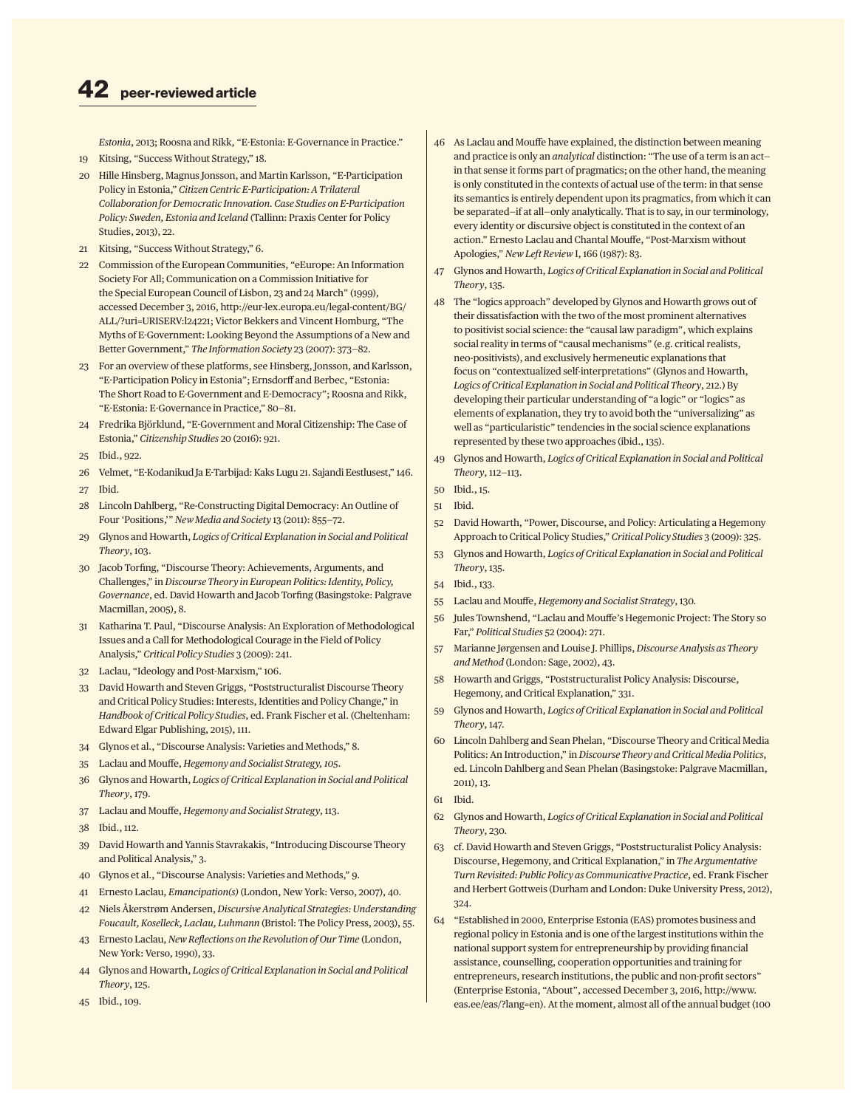## **42 peer-reviewed article**

*Estonia*, 2013; Roosna and Rikk, "E-Estonia: E-Governance in Practice." 19 Kitsing, "Success Without Strategy," 18.

- 20 Hille Hinsberg, Magnus Jonsson, and Martin Karlsson, "E-Participation Policy in Estonia," *Citizen Centric E-Participation: A Trilateral Collaboration for Democratic Innovation. Case Studies on E-Participation Policy: Sweden, Estonia and Iceland* (Tallinn: Praxis Center for Policy Studies, 2013), 22.
- 21 Kitsing, "Success Without Strategy," 6.
- 22 Commission of the European Communities, "eEurope: An Information Society For All; Communication on a Commission Initiative for the Special European Council of Lisbon, 23 and 24 March" (1999), accessed December 3, 2016, http://eur-lex.europa.eu/legal-content/BG/ ALL/?uri=URISERV:l24221; Victor Bekkers and Vincent Homburg, "The Myths of E-Government: Looking Beyond the Assumptions of a New and Better Government," *The Information Society* 23 (2007): 373—82.
- 23 For an overview of these platforms, see Hinsberg, Jonsson, and Karlsson, "E-Participation Policy in Estonia"; Ernsdorff and Berbec, "Estonia: The Short Road to E-Government and E-Democracy"; Roosna and Rikk, "E-Estonia: E-Governance in Practice," 80—81.
- 24 Fredrika Björklund, "E-Government and Moral Citizenship: The Case of Estonia," *Citizenship Studies* 20 (2016): 921.
- 25 Ibid., 922.
- 26 Velmet, "E-Kodanikud Ja E-Tarbijad: Kaks Lugu 21. Sajandi Eestlusest," 146.
- 27 Ibid.
- 28 Lincoln Dahlberg, "Re-Constructing Digital Democracy: An Outline of Four 'Positions,'" *New Media and Society* 13 (2011): 855—72.
- 29 Glynos and Howarth, *Logics of Critical Explanation in Social and Political Theory*, 103.
- 30 Jacob Torfing, "Discourse Theory: Achievements, Arguments, and Challenges," in *Discourse Theory in European Politics: Identity, Policy, Governance*, ed. David Howarth and Jacob Torfing (Basingstoke: Palgrave Macmillan, 2005), 8.
- 31 Katharina T. Paul, "Discourse Analysis: An Exploration of Methodological Issues and a Call for Methodological Courage in the Field of Policy Analysis," *Critical Policy Studies* 3 (2009): 241.
- 32 Laclau, "Ideology and Post-Marxism," 106.
- 33 David Howarth and Steven Griggs, "Poststructuralist Discourse Theory and Critical Policy Studies: Interests, Identities and Policy Change," in *Handbook of Critical Policy Studies*, ed. Frank Fischer et al. (Cheltenham: Edward Elgar Publishing, 2015), 111.
- 34 Glynos et al., "Discourse Analysis: Varieties and Methods," 8.
- 35 Laclau and Mouffe, *Hegemony and Socialist Strategy, 105*.
- 36 Glynos and Howarth, *Logics of Critical Explanation in Social and Political Theory*, 179.
- 37 Laclau and Mouffe, *Hegemony and Socialist Strategy*, 113.
- 38 Ibid., 112.
- 39 David Howarth and Yannis Stavrakakis, "Introducing Discourse Theory and Political Analysis," 3.
- 40 Glynos et al., "Discourse Analysis: Varieties and Methods," 9.
- 41 Ernesto Laclau, *Emancipation(s)* (London, New York: Verso, 2007), 40.
- 42 Niels Åkerstrøm Andersen, *Discursive Analytical Strategies: Understanding Foucault, Koselleck, Laclau, Luhmann* (Bristol: The Policy Press, 2003), 55.
- 43 Ernesto Laclau, *New Reflections on the Revolution of Our Time* (London, New York: Verso, 1990), 33.
- 44 Glynos and Howarth, *Logics of Critical Explanation in Social and Political Theory*, 125.
- 45 Ibid., 109.
- 46 As Laclau and Mouffe have explained, the distinction between meaning and practice is only an *analytical* distinction: "The use of a term is an act in that sense it forms part of pragmatics; on the other hand, the meaning is only constituted in the contexts of actual use of the term: in that sense its semantics is entirely dependent upon its pragmatics, from which it can be separated—if at all—only analytically. That is to say, in our terminology, every identity or discursive object is constituted in the context of an action." Ernesto Laclau and Chantal Mouffe, "Post-Marxism without Apologies," *New Left Review* I, 166 (1987): 83.
- 47 Glynos and Howarth, *Logics of Critical Explanation in Social and Political Theory*, 135.
- 48 The "logics approach" developed by Glynos and Howarth grows out of their dissatisfaction with the two of the most prominent alternatives to positivist social science: the "causal law paradigm", which explains social reality in terms of "causal mechanisms" (e.g. critical realists, neo-positivists), and exclusively hermeneutic explanations that focus on "contextualized self-interpretations" (Glynos and Howarth, *Logics of Critical Explanation in Social and Political Theory*, 212.) By developing their particular understanding of "a logic" or "logics" as elements of explanation, they try to avoid both the "universalizing" as well as "particularistic" tendencies in the social science explanations represented by these two approaches (ibid., 135).
- 49 Glynos and Howarth, *Logics of Critical Explanation in Social and Political Theory*, 112—113.
- 50 Ibid., 15.
- 51 Ibid.
- 52 David Howarth, "Power, Discourse, and Policy: Articulating a Hegemony Approach to Critical Policy Studies," *Critical Policy Studies* 3 (2009): 325.
- 53 Glynos and Howarth, *Logics of Critical Explanation in Social and Political Theory*, 135.
- 54 Ibid., 133.
- 55 Laclau and Mouffe, *Hegemony and Socialist Strategy*, 130.
- 56 Jules Townshend, "Laclau and Mouffe's Hegemonic Project: The Story so Far," *Political Studies* 52 (2004): 271.
- 57 Marianne Jørgensen and Louise J. Phillips, *Discourse Analysis as Theory and Method* (London: Sage, 2002), 43.
- 58 Howarth and Griggs, "Poststructuralist Policy Analysis: Discourse, Hegemony, and Critical Explanation," 331.
- 59 Glynos and Howarth, *Logics of Critical Explanation in Social and Political Theory*, 147.
- 60 Lincoln Dahlberg and Sean Phelan, "Discourse Theory and Critical Media Politics: An Introduction," in *Discourse Theory and Critical Media Politics*, ed. Lincoln Dahlberg and Sean Phelan (Basingstoke: Palgrave Macmillan, 2011), 13.
- 61 Ibid.
- 62 Glynos and Howarth, *Logics of Critical Explanation in Social and Political Theory*, 230.
- 63 cf. David Howarth and Steven Griggs, "Poststructuralist Policy Analysis: Discourse, Hegemony, and Critical Explanation," in *The Argumentative Turn Revisited: Public Policy as Communicative Practice*, ed. Frank Fischer and Herbert Gottweis (Durham and London: Duke University Press, 2012), 324.
- 64 "Established in 2000, Enterprise Estonia (EAS) promotes business and regional policy in Estonia and is one of the largest institutions within the national support system for entrepreneurship by providing financial assistance, counselling, cooperation opportunities and training for entrepreneurs, research institutions, the public and non-profit sectors" (Enterprise Estonia, "About", accessed December 3, 2016, http://www. eas.ee/eas/?lang=en). At the moment, almost all of the annual budget (100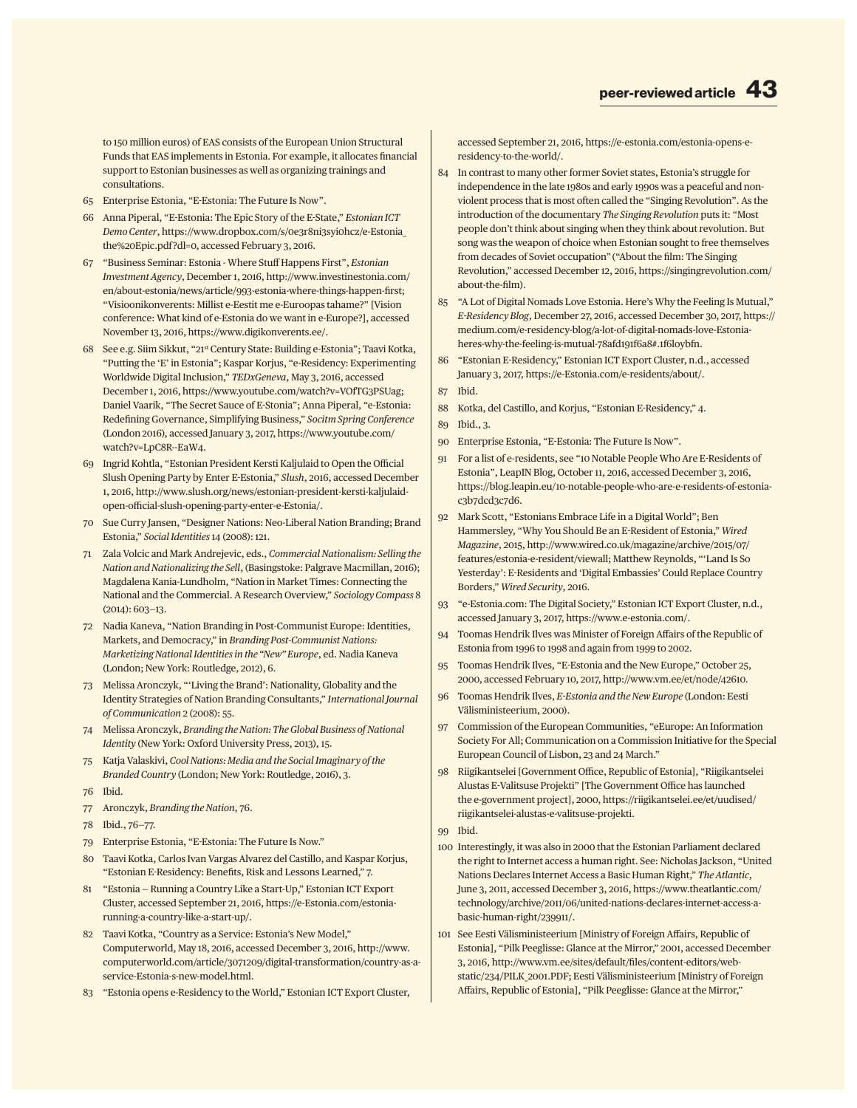to 150 million euros) of EAS consists of the European Union Structural Funds that EAS implements in Estonia. For example, it allocates financial support to Estonian businesses as well as organizing trainings and consultations.

- 65 Enterprise Estonia, "E-Estonia: The Future Is Now".
- 66 Anna Piperal, "E-Estonia: The Epic Story of the E-State," *Estonian ICT Demo Center*, https://www.dropbox.com/s/0e3r8ni3syi0hcz/e-Estonia\_ the%20Epic.pdf?dl=0, accessed February 3, 2016.
- 67 "Business Seminar: Estonia Where Stuff Happens First", *Estonian Investment Agency*, December 1, 2016, http://www.investinestonia.com/ en/about-estonia/news/article/993-estonia-where-things-happen-first; "Visioonikonverents: Millist e-Eestit me e-Euroopas tahame?" [Vision conference: What kind of e-Estonia do we want in e-Europe?], accessed November 13, 2016, https://www.digikonverents.ee/.
- 68 See e.g. Siim Sikkut, "21st Century State: Building e-Estonia"; Taavi Kotka, "Putting the 'E' in Estonia"; Kaspar Korjus, "e-Residency: Experimenting Worldwide Digital Inclusion," *TEDxGeneva*, May 3, 2016, accessed December 1, 2016, https://www.youtube.com/watch?v=VOfTG3PSUag; Daniel Vaarik, "The Secret Sauce of E-Stonia"; Anna Piperal, "e-Estonia: Redefining Governance, Simplifying Business," *Socitm Spring Conference* (London 2016)*,* accessed January 3, 2017, https://www.youtube.com/ watch?v=LpC8R--EaW4.
- 69 Ingrid Kohtla, "Estonian President Kersti Kaljulaid to Open the Official Slush Opening Party by Enter E-Estonia," *Slush*, 2016, accessed December 1, 2016, http://www.slush.org/news/estonian-president-kersti-kaljulaidopen-official-slush-opening-party-enter-e-Estonia/.
- 70 Sue Curry Jansen, "Designer Nations: Neo-Liberal Nation Branding; Brand Estonia," *Social Identities* 14 (2008): 121.
- 71 Zala Volcic and Mark Andrejevic, eds., *Commercial Nationalism: Selling the Nation and Nationalizing the Sell*, (Basingstoke: Palgrave Macmillan, 2016); Magdalena Kania-Lundholm, "Nation in Market Times: Connecting the National and the Commercial. A Research Overview," *Sociology Compass* 8 (2014): 603—13.
- 72 Nadia Kaneva, "Nation Branding in Post-Communist Europe: Identities, Markets, and Democracy," in *Branding Post-Communist Nations: Marketizing National Identities in the "New" Europe*, ed. Nadia Kaneva (London; New York: Routledge, 2012), 6.
- 73 Melissa Aronczyk, "'Living the Brand': Nationality, Globality and the Identity Strategies of Nation Branding Consultants," *International Journal of Communication* 2 (2008): 55.
- 74 Melissa Aronczyk, *Branding the Nation: The Global Business of National Identity* (New York: Oxford University Press, 2013), 15.
- 75 Katja Valaskivi, *Cool Nations: Media and the Social Imaginary of the Branded Country* (London; New York: Routledge, 2016), 3.
- 76 Ibid.
- 77 Aronczyk, *Branding the Nation*, 76.
- 78 Ibid., 76—77.
- 79 Enterprise Estonia, "E-Estonia: The Future Is Now."
- 80 Taavi Kotka, Carlos Ivan Vargas Alvarez del Castillo, and Kaspar Korjus, "Estonian E-Residency: Benefits, Risk and Lessons Learned," 7.
- 81 "Estonia Running a Country Like a Start-Up," Estonian ICT Export Cluster, accessed September 21, 2016, https://e-Estonia.com/estoniarunning-a-country-like-a-start-up/.
- 82 Taavi Kotka, "Country as a Service: Estonia's New Model," Computerworld, May 18, 2016, accessed December 3, 2016, http://www. computerworld.com/article/3071209/digital-transformation/country-as-aservice-Estonia-s-new-model.html.
- 83 "Estonia opens e-Residency to the World," Estonian ICT Export Cluster,

accessed September 21, 2016, https://e-estonia.com/estonia-opens-eresidency-to-the-world/.

- 84 In contrast to many other former Soviet states, Estonia's struggle for independence in the late 1980s and early 1990s was a peaceful and nonviolent process that is most often called the "Singing Revolution". As the introduction of the documentary *The Singing Revolution* puts it: "Most people don't think about singing when they think about revolution. But song was the weapon of choice when Estonian sought to free themselves from decades of Soviet occupation"("About the film: The Singing Revolution," accessed December 12, 2016, https://singingrevolution.com/ about-the-film).
- 85 "A Lot of Digital Nomads Love Estonia. Here's Why the Feeling Is Mutual," *E-Residency Blog*, December 27, 2016, accessed December 30, 2017, https:// medium.com/e-residency-blog/a-lot-of-digital-nomads-love-Estoniaheres-why-the-feeling-is-mutual-78afd191f6a8#.1f6loybfn.
- 86 "Estonian E-Residency," Estonian ICT Export Cluster, n.d., accessed January 3, 2017, https://e-Estonia.com/e-residents/about/.
- 87 Ibid.
- 88 Kotka, del Castillo, and Korjus, "Estonian E-Residency," 4.
- 89 Ibid., 3.
- 90 Enterprise Estonia, "E-Estonia: The Future Is Now".
- 91 For a list of e-residents, see "10 Notable People Who Are E-Residents of Estonia", LeapIN Blog, October 11, 2016, accessed December 3, 2016, https://blog.leapin.eu/10-notable-people-who-are-e-residents-of-estoniac3b7dcd3c7d6.
- 92 Mark Scott, "Estonians Embrace Life in a Digital World"; Ben Hammersley, "Why You Should Be an E-Resident of Estonia," *Wired Magazine*, 2015, http://www.wired.co.uk/magazine/archive/2015/07/ features/estonia-e-resident/viewall; Matthew Reynolds, "'Land Is So Yesterday': E-Residents and 'Digital Embassies' Could Replace Country Borders," *Wired Security*, 2016.
- 93 "e-Estonia.com: The Digital Society," Estonian ICT Export Cluster, n.d., accessed January 3, 2017, https://www.e-estonia.com/.
- 94 Toomas Hendrik Ilves was Minister of Foreign Affairs of the Republic of Estonia from 1996 to 1998 and again from 1999 to 2002.
- 95 Toomas Hendrik Ilves, "E-Estonia and the New Europe," October 25, 2000, accessed February 10, 2017, http://www.vm.ee/et/node/42610.
- 96 Toomas Hendrik Ilves, *E-Estonia and the New Europe* (London: Eesti Välisministeerium, 2000).
- 97 Commission of the European Communities, "eEurope: An Information Society For All; Communication on a Commission Initiative for the Special European Council of Lisbon, 23 and 24 March."
- 98 Riigikantselei [Government Office, Republic of Estonia], "Riigikantselei Alustas E-Valitsuse Projekti" [The Government Office has launched the e-government project], 2000, https://riigikantselei.ee/et/uudised/ riigikantselei-alustas-e-valitsuse-projekti.
- 99 Ibid.
- 100 Interestingly, it was also in 2000 that the Estonian Parliament declared the right to Internet access a human right. See: Nicholas Jackson, "United Nations Declares Internet Access a Basic Human Right," *The Atlantic*, June 3, 2011, accessed December 3, 2016, https://www.theatlantic.com/ technology/archive/2011/06/united-nations-declares-internet-access-abasic-human-right/239911/.
- 101 See Eesti Välisministeerium [Ministry of Foreign Affairs, Republic of Estonia], "Pilk Peeglisse: Glance at the Mirror," 2001, accessed December 3, 2016, http://www.vm.ee/sites/default/files/content-editors/webstatic/234/PILK\_2001.PDF; Eesti Välisministeerium [Ministry of Foreign Affairs, Republic of Estonia], "Pilk Peeglisse: Glance at the Mirror,"